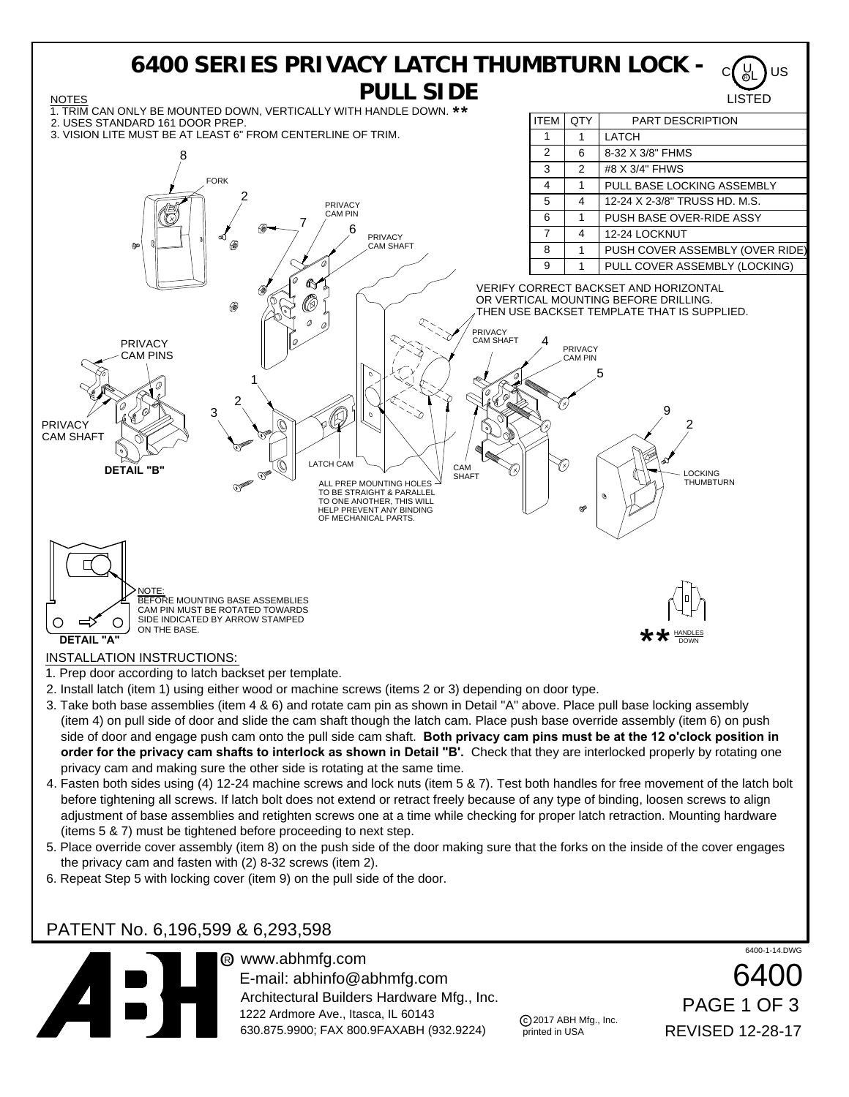

- (item 4) on pull side of door and slide the cam shaft though the latch cam. Place push base override assembly (item 6) on push side of door and engage push cam onto the pull side cam shaft. **Both privacy cam pins must be at the 12 o'clock position in order for the privacy cam shafts to interlock as shown in Detail "B'.** Check that they are interlocked properly by rotating one privacy cam and making sure the other side is rotating at the same time.
- 4. Fasten both sides using (4) 12-24 machine screws and lock nuts (item 5 & 7). Test both handles for free movement of the latch bolt before tightening all screws. If latch bolt does not extend or retract freely because of any type of binding, loosen screws to align adjustment of base assemblies and retighten screws one at a time while checking for proper latch retraction. Mounting hardware (items 5 & 7) must be tightened before proceeding to next step.
- 5. Place override cover assembly (item 8) on the push side of the door making sure that the forks on the inside of the cover engages the privacy cam and fasten with (2) 8-32 screws (item 2).
- 6. Repeat Step 5 with locking cover (item 9) on the pull side of the door.

## PATENT No. 6,196,599 & 6,293,598



® www.abhmfg.com E-mail: abhinfo@abhmfg.com Architectural Builders Hardware Mfg., Inc. 1222 Ardmore Ave., Itasca, IL 60143 630.875.9900; FAX 800.9FAXABH (932.9224)

c 2017 ABH Mfg., Inc. printed in USA

6400-1-14.DWG

6400 REVISED 12-28-17 PAGE 1 OF 3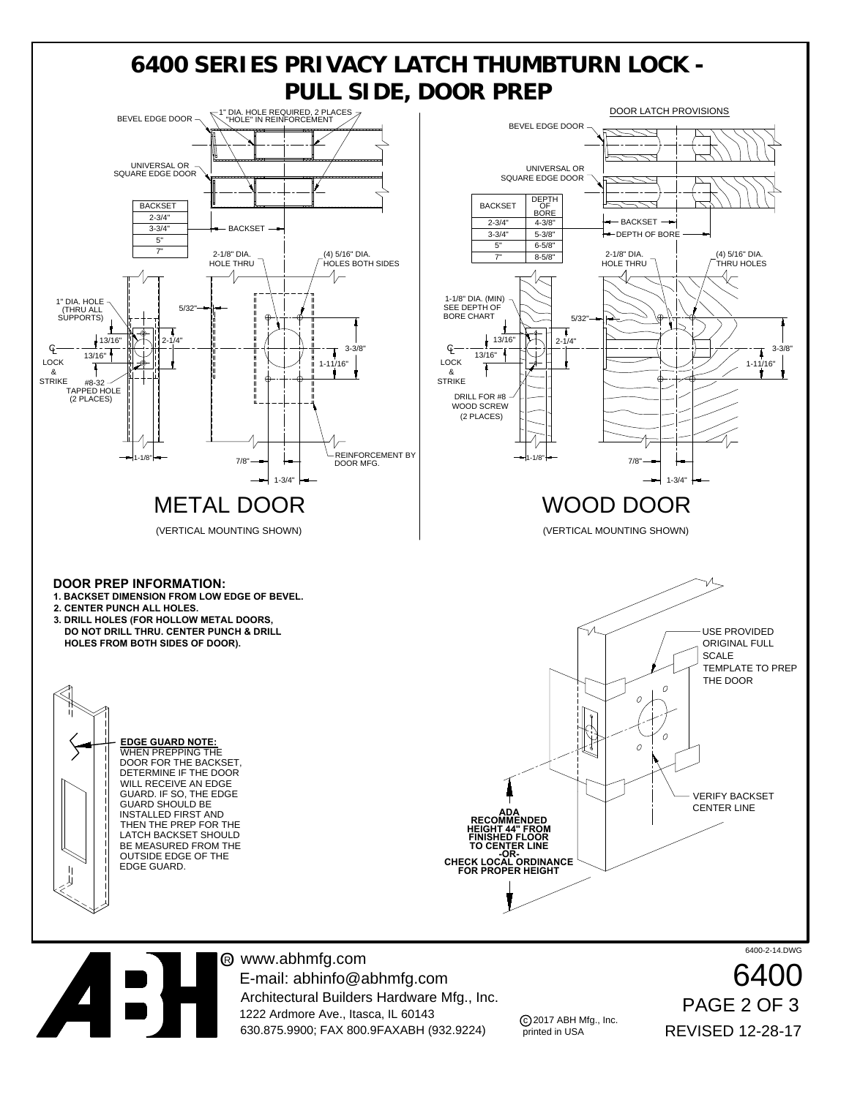

® www.abhmfg.com E-mail: abhinfo@abhmfg.com Architectural Builders Hardware Mfg., Inc. 1222 Ardmore Ave., Itasca, IL 60143 630.875.9900; FAX 800.9FAXABH (932.9224)

c 2017 ABH Mfg., Inc. printed in USA

6400-2-14.DWG

REVISED 12-28-17 PAGE 2 OF 3 6400